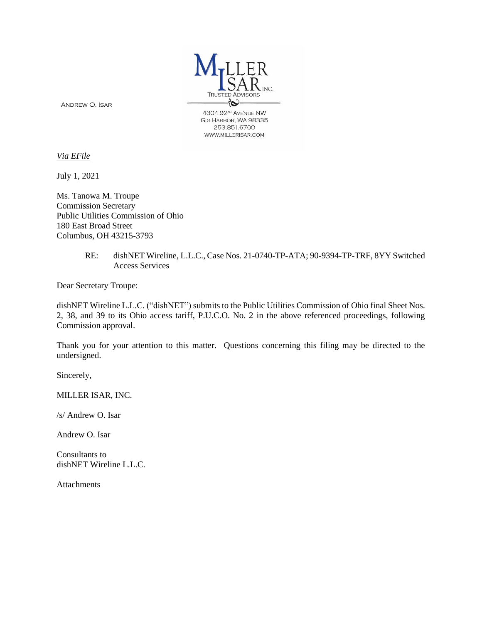

Andrew O. Isar

4304 92<sup>ND</sup> AVENUE NW GIG HARBOR, WA 98335 253.851.6700 WWW.MILLERISAR.COM

*Via EFile*

July 1, 2021

Ms. Tanowa M. Troupe Commission Secretary Public Utilities Commission of Ohio 180 East Broad Street Columbus, OH 43215-3793

#### RE: dishNET Wireline, L.L.C., Case Nos. 21-0740-TP-ATA; 90-9394-TP-TRF, 8YY Switched Access Services

Dear Secretary Troupe:

dishNET Wireline L.L.C. ("dishNET") submits to the Public Utilities Commission of Ohio final Sheet Nos. 2, 38, and 39 to its Ohio access tariff, P.U.C.O. No. 2 in the above referenced proceedings, following Commission approval.

Thank you for your attention to this matter. Questions concerning this filing may be directed to the undersigned.

Sincerely,

MILLER ISAR, INC.

/s/ Andrew O. Isar

Andrew O. Isar

Consultants to dishNET Wireline L.L.C.

Attachments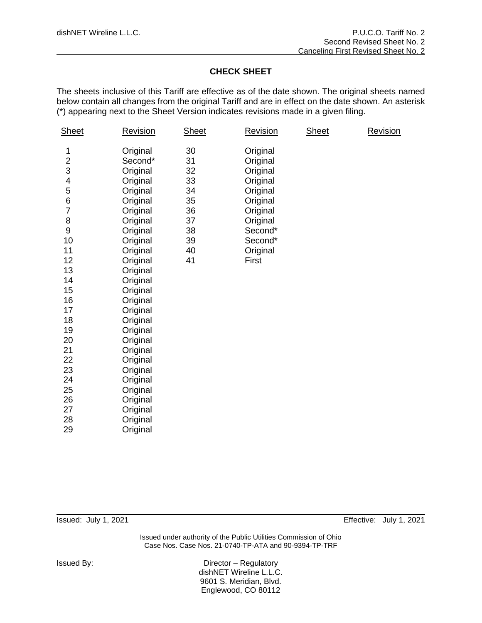# **CHECK SHEET**

The sheets inclusive of this Tariff are effective as of the date shown. The original sheets named below contain all changes from the original Tariff and are in effect on the date shown. An asterisk (\*) appearing next to the Sheet Version indicates revisions made in a given filing.

| Sheet                                                                                                                                                                        | <b>Revision</b>                                                                                                                                                                                                                                                                                                                             | <b>Sheet</b>                                                         | <b>Revision</b>                                                                                                                         | <b>Sheet</b> | <b>Revision</b> |
|------------------------------------------------------------------------------------------------------------------------------------------------------------------------------|---------------------------------------------------------------------------------------------------------------------------------------------------------------------------------------------------------------------------------------------------------------------------------------------------------------------------------------------|----------------------------------------------------------------------|-----------------------------------------------------------------------------------------------------------------------------------------|--------------|-----------------|
| 1<br>2<br>3<br>4<br>5<br>$\,6$<br>$\overline{7}$<br>8<br>9<br>10<br>11<br>12<br>13<br>14<br>15<br>16<br>17<br>18<br>19<br>20<br>21<br>22<br>23<br>24<br>25<br>26<br>27<br>28 | Original<br>Second*<br>Original<br>Original<br>Original<br>Original<br>Original<br>Original<br>Original<br>Original<br>Original<br>Original<br>Original<br>Original<br>Original<br>Original<br>Original<br>Original<br>Original<br>Original<br>Original<br>Original<br>Original<br>Original<br>Original<br>Original<br>Original<br>Original | 30<br>31<br>32<br>33<br>34<br>35<br>36<br>37<br>38<br>39<br>40<br>41 | Original<br>Original<br>Original<br>Original<br>Original<br>Original<br>Original<br>Original<br>Second*<br>Second*<br>Original<br>First |              |                 |
| 29                                                                                                                                                                           | Original                                                                                                                                                                                                                                                                                                                                    |                                                                      |                                                                                                                                         |              |                 |

Issued: July 1, 2021 Effective: July 1, 2021

Issued under authority of the Public Utilities Commission of Ohio Case Nos. Case Nos. 21-0740-TP-ATA and 90-9394-TP-TRF

Issued By: Director – Regulatory dishNET Wireline L.L.C. 9601 S. Meridian, Blvd. Englewood, CO 80112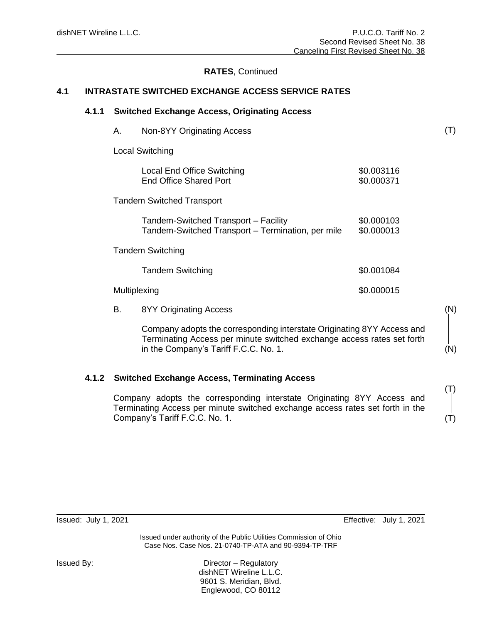# **RATES**, Continued

# **4.1 INTRASTATE SWITCHED EXCHANGE ACCESS SERVICE RATES**

#### **4.1.1 Switched Exchange Access, Originating Access**

| Α.                               | Non-8YY Originating Access                                                                |                          |  |  |  |
|----------------------------------|-------------------------------------------------------------------------------------------|--------------------------|--|--|--|
| Local Switching                  |                                                                                           |                          |  |  |  |
|                                  | Local End Office Switching<br>End Office Shared Port                                      | \$0.003116<br>\$0.000371 |  |  |  |
| <b>Tandem Switched Transport</b> |                                                                                           |                          |  |  |  |
|                                  | Tandem-Switched Transport - Facility<br>Tandem-Switched Transport - Termination, per mile | \$0.000103<br>\$0.000013 |  |  |  |
| <b>Tandem Switching</b>          |                                                                                           |                          |  |  |  |
|                                  | <b>Tandem Switching</b>                                                                   | \$0.001084               |  |  |  |
| Multiplexing                     |                                                                                           | \$0.000015               |  |  |  |
| В.                               | 8YY Originating Access                                                                    |                          |  |  |  |

Company adopts the corresponding interstate Originating 8YY Access and Terminating Access per minute switched exchange access rates set forth in the Company's Tariff F.C.C. No. 1.

#### **4.1.2 Switched Exchange Access, Terminating Access**

Company adopts the corresponding interstate Originating 8YY Access and Terminating Access per minute switched exchange access rates set forth in the Company's Tariff F.C.C. No. 1.

(T)

(T)

(N)

(N)

(T)

Issued: July 1, 2021 Effective: July 1, 2021

Issued under authority of the Public Utilities Commission of Ohio Case Nos. Case Nos. 21-0740-TP-ATA and 90-9394-TP-TRF

Issued By: Director – Regulatory dishNET Wireline L.L.C. 9601 S. Meridian, Blvd. Englewood, CO 80112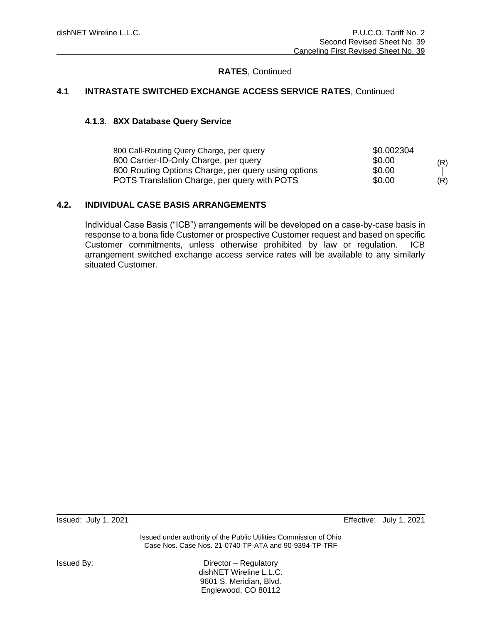# **RATES**, Continued

### **4.1 INTRASTATE SWITCHED EXCHANGE ACCESS SERVICE RATES**, Continued

#### **4.1.3. 8XX Database Query Service**

| 800 Call-Routing Query Charge, per query            | \$0.002304 |     |
|-----------------------------------------------------|------------|-----|
| 800 Carrier-ID-Only Charge, per query               | \$0.00     | (R) |
| 800 Routing Options Charge, per query using options | \$0.00     |     |
| POTS Translation Charge, per query with POTS        | \$0.00     | (R) |

# **4.2. INDIVIDUAL CASE BASIS ARRANGEMENTS**

Individual Case Basis ("ICB") arrangements will be developed on a case-by-case basis in response to a bona fide Customer or prospective Customer request and based on specific Customer commitments, unless otherwise prohibited by law or regulation. ICB arrangement switched exchange access service rates will be available to any similarly situated Customer.

Issued: July 1, 2021 Effective: July 1, 2021

Issued under authority of the Public Utilities Commission of Ohio Case Nos. Case Nos. 21-0740-TP-ATA and 90-9394-TP-TRF

Issued By: Director – Regulatory dishNET Wireline L.L.C. 9601 S. Meridian, Blvd. Englewood, CO 80112